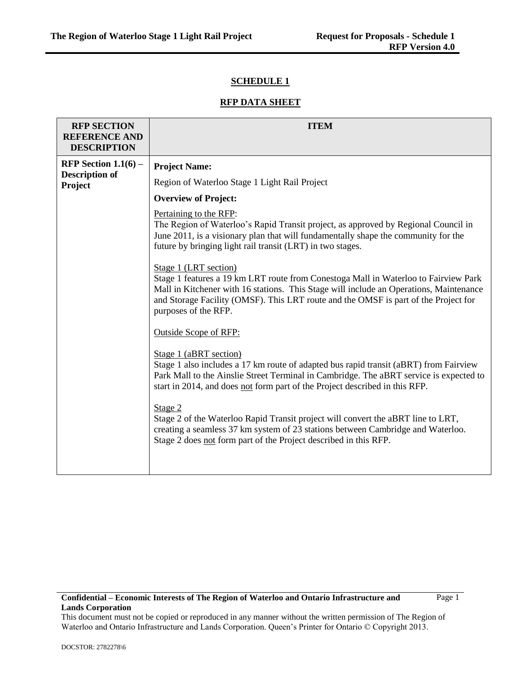## **SCHEDULE 1**

## **RFP DATA SHEET**

| <b>RFP SECTION</b><br><b>REFERENCE AND</b><br><b>DESCRIPTION</b> | <b>ITEM</b>                                                                                                                                                                                                                                                                                                           |
|------------------------------------------------------------------|-----------------------------------------------------------------------------------------------------------------------------------------------------------------------------------------------------------------------------------------------------------------------------------------------------------------------|
| RFP Section $1.1(6)$ –                                           | <b>Project Name:</b>                                                                                                                                                                                                                                                                                                  |
| <b>Description of</b><br>Project                                 | Region of Waterloo Stage 1 Light Rail Project                                                                                                                                                                                                                                                                         |
|                                                                  | <b>Overview of Project:</b>                                                                                                                                                                                                                                                                                           |
|                                                                  | Pertaining to the RFP:<br>The Region of Waterloo's Rapid Transit project, as approved by Regional Council in<br>June 2011, is a visionary plan that will fundamentally shape the community for the<br>future by bringing light rail transit (LRT) in two stages.                                                      |
|                                                                  | Stage 1 (LRT section)<br>Stage 1 features a 19 km LRT route from Conestoga Mall in Waterloo to Fairview Park<br>Mall in Kitchener with 16 stations. This Stage will include an Operations, Maintenance<br>and Storage Facility (OMSF). This LRT route and the OMSF is part of the Project for<br>purposes of the RFP. |
|                                                                  | <b>Outside Scope of RFP:</b>                                                                                                                                                                                                                                                                                          |
|                                                                  | Stage 1 (aBRT section)<br>Stage 1 also includes a 17 km route of adapted bus rapid transit (aBRT) from Fairview<br>Park Mall to the Ainslie Street Terminal in Cambridge. The aBRT service is expected to<br>start in 2014, and does not form part of the Project described in this RFP.                              |
|                                                                  | Stage 2<br>Stage 2 of the Waterloo Rapid Transit project will convert the aBRT line to LRT,<br>creating a seamless 37 km system of 23 stations between Cambridge and Waterloo.<br>Stage 2 does not form part of the Project described in this RFP.                                                                    |

#### **Confidential – Economic Interests of The Region of Waterloo and Ontario Infrastructure and Lands Corporation**

Page 1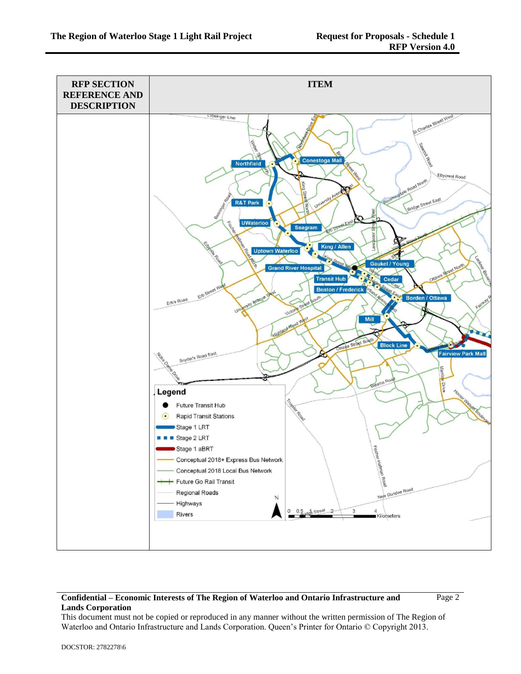

Page 2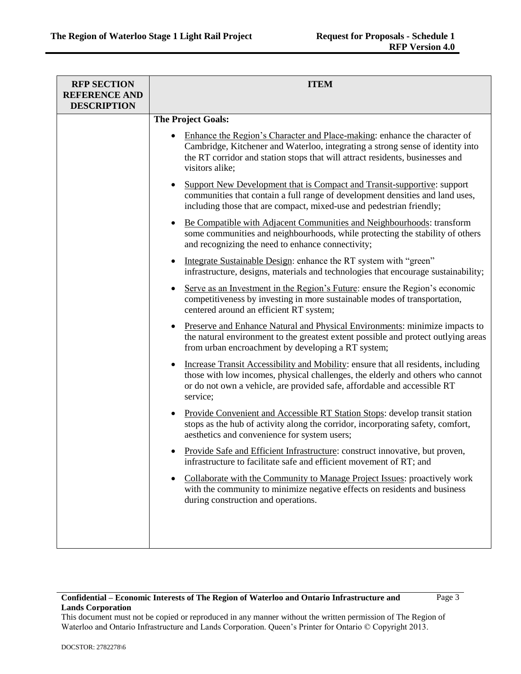| <b>RFP SECTION</b><br><b>REFERENCE AND</b><br><b>DESCRIPTION</b> | <b>ITEM</b>                                                                                                                                                                                                                                                     |  |
|------------------------------------------------------------------|-----------------------------------------------------------------------------------------------------------------------------------------------------------------------------------------------------------------------------------------------------------------|--|
|                                                                  | <b>The Project Goals:</b>                                                                                                                                                                                                                                       |  |
|                                                                  | Enhance the Region's Character and Place-making: enhance the character of<br>Cambridge, Kitchener and Waterloo, integrating a strong sense of identity into<br>the RT corridor and station stops that will attract residents, businesses and<br>visitors alike; |  |
|                                                                  | Support New Development that is Compact and Transit-supportive: support<br>communities that contain a full range of development densities and land uses,<br>including those that are compact, mixed-use and pedestrian friendly;                                |  |
|                                                                  | Be Compatible with Adjacent Communities and Neighbourhoods: transform<br>some communities and neighbourhoods, while protecting the stability of others<br>and recognizing the need to enhance connectivity;                                                     |  |
|                                                                  | Integrate Sustainable Design: enhance the RT system with "green"<br>infrastructure, designs, materials and technologies that encourage sustainability;                                                                                                          |  |
|                                                                  | Serve as an Investment in the Region's Future: ensure the Region's economic<br>competitiveness by investing in more sustainable modes of transportation,<br>centered around an efficient RT system;                                                             |  |
|                                                                  | Preserve and Enhance Natural and Physical Environments: minimize impacts to<br>$\bullet$<br>the natural environment to the greatest extent possible and protect outlying areas<br>from urban encroachment by developing a RT system;                            |  |
|                                                                  | Increase Transit Accessibility and Mobility: ensure that all residents, including<br>those with low incomes, physical challenges, the elderly and others who cannot<br>or do not own a vehicle, are provided safe, affordable and accessible RT<br>service;     |  |
|                                                                  | Provide Convenient and Accessible RT Station Stops: develop transit station<br>stops as the hub of activity along the corridor, incorporating safety, comfort,<br>aesthetics and convenience for system users;                                                  |  |
|                                                                  | Provide Safe and Efficient Infrastructure: construct innovative, but proven,<br>infrastructure to facilitate safe and efficient movement of RT; and                                                                                                             |  |
|                                                                  | Collaborate with the Community to Manage Project Issues: proactively work<br>with the community to minimize negative effects on residents and business<br>during construction and operations.                                                                   |  |
|                                                                  |                                                                                                                                                                                                                                                                 |  |

Page 3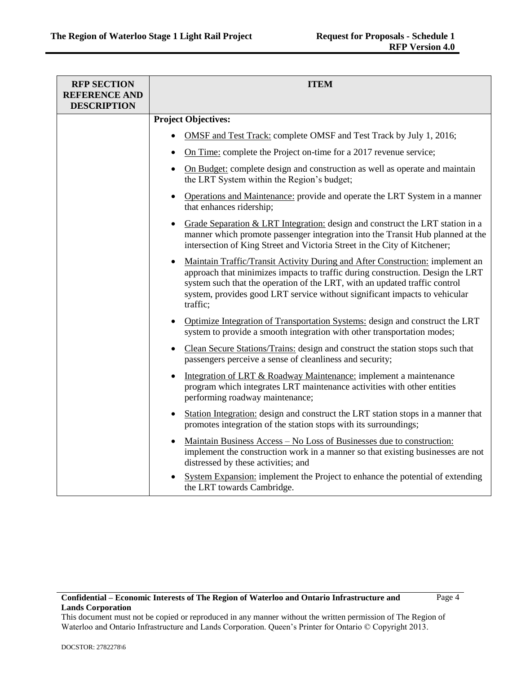| <b>RFP SECTION</b><br><b>REFERENCE AND</b><br><b>DESCRIPTION</b> | <b>ITEM</b>                                                                                                                                                                                                                                                                                                                                          |  |
|------------------------------------------------------------------|------------------------------------------------------------------------------------------------------------------------------------------------------------------------------------------------------------------------------------------------------------------------------------------------------------------------------------------------------|--|
|                                                                  | <b>Project Objectives:</b>                                                                                                                                                                                                                                                                                                                           |  |
|                                                                  | <b>OMSF</b> and Test Track: complete OMSF and Test Track by July 1, 2016;                                                                                                                                                                                                                                                                            |  |
|                                                                  | On Time: complete the Project on-time for a 2017 revenue service;                                                                                                                                                                                                                                                                                    |  |
|                                                                  | On Budget: complete design and construction as well as operate and maintain<br>$\bullet$<br>the LRT System within the Region's budget;                                                                                                                                                                                                               |  |
|                                                                  | <b>Operations and Maintenance:</b> provide and operate the LRT System in a manner<br>$\bullet$<br>that enhances ridership;                                                                                                                                                                                                                           |  |
|                                                                  | Grade Separation & LRT Integration: design and construct the LRT station in a<br>$\bullet$<br>manner which promote passenger integration into the Transit Hub planned at the<br>intersection of King Street and Victoria Street in the City of Kitchener;                                                                                            |  |
|                                                                  | Maintain Traffic/Transit Activity During and After Construction: implement an<br>$\bullet$<br>approach that minimizes impacts to traffic during construction. Design the LRT<br>system such that the operation of the LRT, with an updated traffic control<br>system, provides good LRT service without significant impacts to vehicular<br>traffic; |  |
|                                                                  | Optimize Integration of Transportation Systems: design and construct the LRT<br>$\bullet$<br>system to provide a smooth integration with other transportation modes;                                                                                                                                                                                 |  |
|                                                                  | Clean Secure Stations/Trains: design and construct the station stops such that<br>$\bullet$<br>passengers perceive a sense of cleanliness and security;                                                                                                                                                                                              |  |
|                                                                  | Integration of LRT & Roadway Maintenance: implement a maintenance<br>$\bullet$<br>program which integrates LRT maintenance activities with other entities<br>performing roadway maintenance;                                                                                                                                                         |  |
|                                                                  | Station Integration: design and construct the LRT station stops in a manner that<br>٠<br>promotes integration of the station stops with its surroundings;                                                                                                                                                                                            |  |
|                                                                  | <u> Maintain Business Access – No Loss of Businesses due to construction:</u><br>$\bullet$<br>implement the construction work in a manner so that existing businesses are not<br>distressed by these activities; and                                                                                                                                 |  |
|                                                                  | System Expansion: implement the Project to enhance the potential of extending<br>the LRT towards Cambridge.                                                                                                                                                                                                                                          |  |

Page 4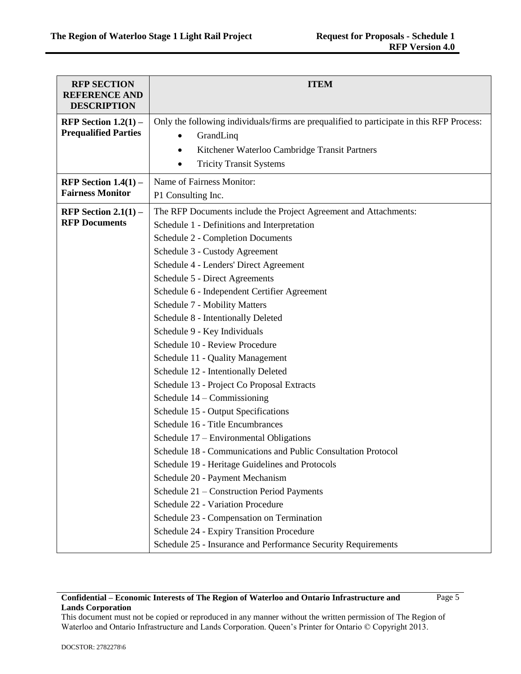| <b>RFP SECTION</b><br><b>REFERENCE AND</b><br><b>DESCRIPTION</b> | <b>ITEM</b>                                                                                                                                                                                                                                                                                                                                                                                                                                                                                                                                                                                                                                                                                                                                                                                                                                                                                                                                                                                                                                                                                                                                             |
|------------------------------------------------------------------|---------------------------------------------------------------------------------------------------------------------------------------------------------------------------------------------------------------------------------------------------------------------------------------------------------------------------------------------------------------------------------------------------------------------------------------------------------------------------------------------------------------------------------------------------------------------------------------------------------------------------------------------------------------------------------------------------------------------------------------------------------------------------------------------------------------------------------------------------------------------------------------------------------------------------------------------------------------------------------------------------------------------------------------------------------------------------------------------------------------------------------------------------------|
| RFP Section $1.2(1)$ –<br><b>Prequalified Parties</b>            | Only the following individuals/firms are prequalified to participate in this RFP Process:<br>GrandLinq<br>Kitchener Waterloo Cambridge Transit Partners<br><b>Tricity Transit Systems</b>                                                                                                                                                                                                                                                                                                                                                                                                                                                                                                                                                                                                                                                                                                                                                                                                                                                                                                                                                               |
| RFP Section $1.4(1)$ –<br><b>Fairness Monitor</b>                | Name of Fairness Monitor:<br>P1 Consulting Inc.                                                                                                                                                                                                                                                                                                                                                                                                                                                                                                                                                                                                                                                                                                                                                                                                                                                                                                                                                                                                                                                                                                         |
| RFP Section $2.1(1)$ –<br><b>RFP Documents</b>                   | The RFP Documents include the Project Agreement and Attachments:<br>Schedule 1 - Definitions and Interpretation<br>Schedule 2 - Completion Documents<br>Schedule 3 - Custody Agreement<br>Schedule 4 - Lenders' Direct Agreement<br>Schedule 5 - Direct Agreements<br>Schedule 6 - Independent Certifier Agreement<br><b>Schedule 7 - Mobility Matters</b><br>Schedule 8 - Intentionally Deleted<br>Schedule 9 - Key Individuals<br>Schedule 10 - Review Procedure<br>Schedule 11 - Quality Management<br>Schedule 12 - Intentionally Deleted<br>Schedule 13 - Project Co Proposal Extracts<br>Schedule $14$ – Commissioning<br>Schedule 15 - Output Specifications<br>Schedule 16 - Title Encumbrances<br>Schedule 17 – Environmental Obligations<br>Schedule 18 - Communications and Public Consultation Protocol<br>Schedule 19 - Heritage Guidelines and Protocols<br>Schedule 20 - Payment Mechanism<br>Schedule 21 - Construction Period Payments<br>Schedule 22 - Variation Procedure<br>Schedule 23 - Compensation on Termination<br>Schedule 24 - Expiry Transition Procedure<br>Schedule 25 - Insurance and Performance Security Requirements |

Page 5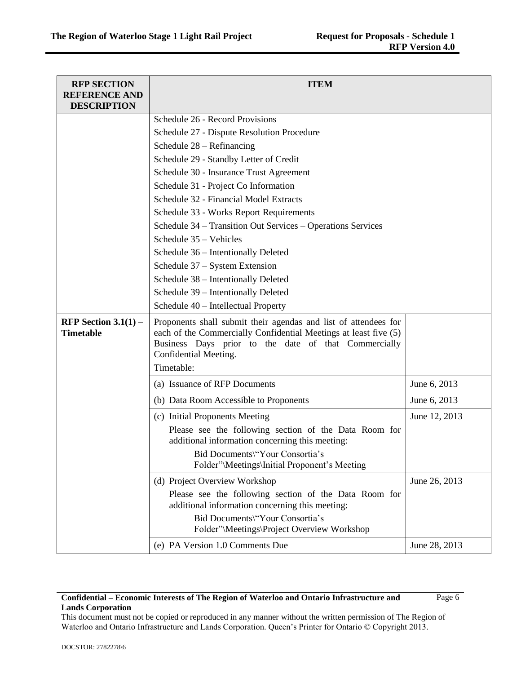| <b>RFP SECTION</b><br><b>REFERENCE AND</b><br><b>DESCRIPTION</b> | <b>ITEM</b>                                                                                                                                                                                                                        |               |
|------------------------------------------------------------------|------------------------------------------------------------------------------------------------------------------------------------------------------------------------------------------------------------------------------------|---------------|
|                                                                  | Schedule 26 - Record Provisions                                                                                                                                                                                                    |               |
|                                                                  | Schedule 27 - Dispute Resolution Procedure                                                                                                                                                                                         |               |
|                                                                  | Schedule $28 - Refinancing$                                                                                                                                                                                                        |               |
|                                                                  | Schedule 29 - Standby Letter of Credit                                                                                                                                                                                             |               |
|                                                                  | Schedule 30 - Insurance Trust Agreement                                                                                                                                                                                            |               |
|                                                                  | Schedule 31 - Project Co Information                                                                                                                                                                                               |               |
|                                                                  | Schedule 32 - Financial Model Extracts                                                                                                                                                                                             |               |
|                                                                  | Schedule 33 - Works Report Requirements                                                                                                                                                                                            |               |
|                                                                  | Schedule 34 - Transition Out Services - Operations Services                                                                                                                                                                        |               |
|                                                                  | Schedule 35 - Vehicles                                                                                                                                                                                                             |               |
|                                                                  | Schedule 36 - Intentionally Deleted                                                                                                                                                                                                |               |
|                                                                  | Schedule 37 – System Extension                                                                                                                                                                                                     |               |
|                                                                  | Schedule 38 - Intentionally Deleted                                                                                                                                                                                                |               |
|                                                                  | Schedule 39 - Intentionally Deleted                                                                                                                                                                                                |               |
|                                                                  | Schedule 40 - Intellectual Property                                                                                                                                                                                                |               |
| RFP Section $3.1(1)$ –<br><b>Timetable</b>                       | Proponents shall submit their agendas and list of attendees for<br>each of the Commercially Confidential Meetings at least five (5)<br>Business Days prior to the date of that Commercially<br>Confidential Meeting.<br>Timetable: |               |
|                                                                  | (a) Issuance of RFP Documents                                                                                                                                                                                                      | June 6, 2013  |
|                                                                  | (b) Data Room Accessible to Proponents                                                                                                                                                                                             | June 6, 2013  |
|                                                                  | (c) Initial Proponents Meeting                                                                                                                                                                                                     | June 12, 2013 |
|                                                                  | Please see the following section of the Data Room for<br>additional information concerning this meeting:                                                                                                                           |               |
|                                                                  | Bid Documents\"Your Consortia's<br>Folder"\Meetings\Initial Proponent's Meeting                                                                                                                                                    |               |
|                                                                  | (d) Project Overview Workshop                                                                                                                                                                                                      | June 26, 2013 |
|                                                                  | Please see the following section of the Data Room for<br>additional information concerning this meeting:                                                                                                                           |               |
|                                                                  | Bid Documents\"Your Consortia's<br>Folder"\Meetings\Project Overview Workshop                                                                                                                                                      |               |
|                                                                  | (e) PA Version 1.0 Comments Due                                                                                                                                                                                                    | June 28, 2013 |

Page 6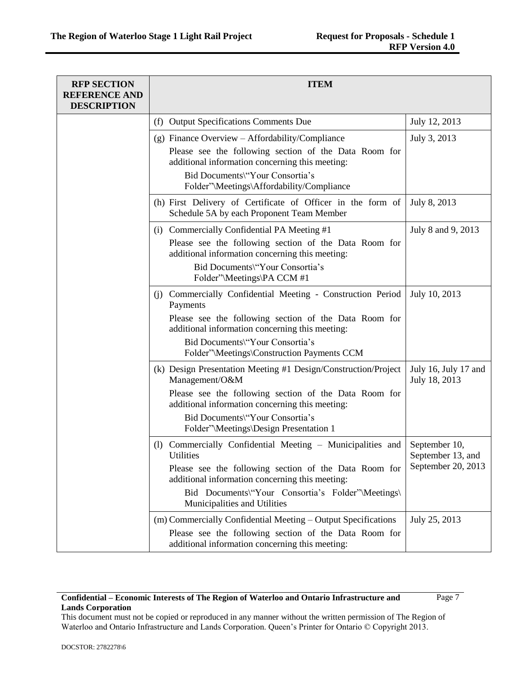| <b>RFP SECTION</b><br><b>REFERENCE AND</b><br><b>DESCRIPTION</b> | <b>ITEM</b>                                                                                                                                                                                                                                                               |                                                          |
|------------------------------------------------------------------|---------------------------------------------------------------------------------------------------------------------------------------------------------------------------------------------------------------------------------------------------------------------------|----------------------------------------------------------|
|                                                                  | (f) Output Specifications Comments Due                                                                                                                                                                                                                                    | July 12, 2013                                            |
|                                                                  | (g) Finance Overview – Affordability/Compliance<br>Please see the following section of the Data Room for<br>additional information concerning this meeting:<br>Bid Documents\"Your Consortia's<br>Folder"\Meetings\Affordability/Compliance                               | July 3, 2013                                             |
|                                                                  | (h) First Delivery of Certificate of Officer in the form of<br>Schedule 5A by each Proponent Team Member                                                                                                                                                                  | July 8, 2013                                             |
|                                                                  | (i) Commercially Confidential PA Meeting #1<br>Please see the following section of the Data Room for<br>additional information concerning this meeting:<br>Bid Documents\"Your Consortia's<br>Folder"\Meetings\PA CCM #1                                                  | July 8 and 9, 2013                                       |
|                                                                  | (j) Commercially Confidential Meeting - Construction Period<br>Payments<br>Please see the following section of the Data Room for<br>additional information concerning this meeting:<br>Bid Documents\"Your Consortia's<br>Folder"\Meetings\Construction Payments CCM      | July 10, 2013                                            |
|                                                                  | (k) Design Presentation Meeting #1 Design/Construction/Project<br>Management/O&M<br>Please see the following section of the Data Room for<br>additional information concerning this meeting:<br>Bid Documents\"Your Consortia's<br>Folder"\Meetings\Design Presentation 1 | July 16, July 17 and<br>July 18, 2013                    |
|                                                                  | (1) Commercially Confidential Meeting - Municipalities and<br>Utilities<br>Please see the following section of the Data Room for<br>additional information concerning this meeting:<br>Bid Documents\"Your Consortia's Folder"\Meetings\<br>Municipalities and Utilities  | September 10,<br>September 13, and<br>September 20, 2013 |
|                                                                  | (m) Commercially Confidential Meeting – Output Specifications<br>Please see the following section of the Data Room for<br>additional information concerning this meeting:                                                                                                 | July 25, 2013                                            |

Page 7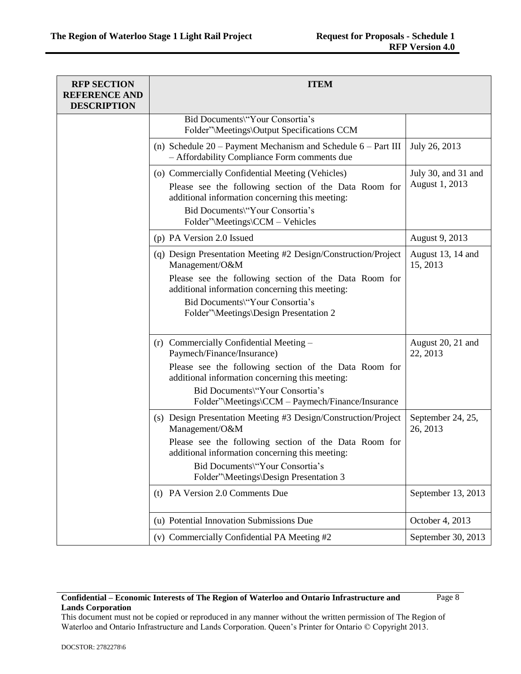| <b>RFP SECTION</b><br><b>REFERENCE AND</b><br><b>DESCRIPTION</b> | <b>ITEM</b>                                                                                                                                                                                                                        |                                       |
|------------------------------------------------------------------|------------------------------------------------------------------------------------------------------------------------------------------------------------------------------------------------------------------------------------|---------------------------------------|
|                                                                  | Bid Documents\"Your Consortia's<br>Folder"\Meetings\Output Specifications CCM                                                                                                                                                      |                                       |
|                                                                  | (n) Schedule $20$ – Payment Mechanism and Schedule $6$ – Part III<br>- Affordability Compliance Form comments due                                                                                                                  | July 26, 2013                         |
|                                                                  | (o) Commercially Confidential Meeting (Vehicles)<br>Please see the following section of the Data Room for<br>additional information concerning this meeting:<br>Bid Documents\"Your Consortia's<br>Folder"\Meetings\CCM - Vehicles | July 30, and 31 and<br>August 1, 2013 |
|                                                                  | (p) PA Version 2.0 Issued                                                                                                                                                                                                          | August 9, 2013                        |
|                                                                  | (q) Design Presentation Meeting #2 Design/Construction/Project<br>Management/O&M<br>Please see the following section of the Data Room for<br>additional information concerning this meeting:                                       | August 13, 14 and<br>15, 2013         |
|                                                                  | Bid Documents\"Your Consortia's<br>Folder"\Meetings\Design Presentation 2                                                                                                                                                          |                                       |
|                                                                  | (r) Commercially Confidential Meeting -<br>Paymech/Finance/Insurance)                                                                                                                                                              | August 20, 21 and<br>22, 2013         |
|                                                                  | Please see the following section of the Data Room for<br>additional information concerning this meeting:                                                                                                                           |                                       |
|                                                                  | Bid Documents\"Your Consortia's<br>Folder"\Meetings\CCM - Paymech/Finance/Insurance                                                                                                                                                |                                       |
|                                                                  | (s) Design Presentation Meeting #3 Design/Construction/Project<br>Management/O&M                                                                                                                                                   | September 24, 25,<br>26, 2013         |
|                                                                  | Please see the following section of the Data Room for<br>additional information concerning this meeting:                                                                                                                           |                                       |
|                                                                  | Bid Documents\"Your Consortia's<br>Folder"\Meetings\Design Presentation 3                                                                                                                                                          |                                       |
|                                                                  | (t) PA Version 2.0 Comments Due                                                                                                                                                                                                    | September 13, 2013                    |
|                                                                  | (u) Potential Innovation Submissions Due                                                                                                                                                                                           | October 4, 2013                       |
|                                                                  | (v) Commercially Confidential PA Meeting #2                                                                                                                                                                                        | September 30, 2013                    |

Page 8

This document must not be copied or reproduced in any manner without the written permission of The Region of Waterloo and Ontario Infrastructure and Lands Corporation. Queen's Printer for Ontario © Copyright 2013.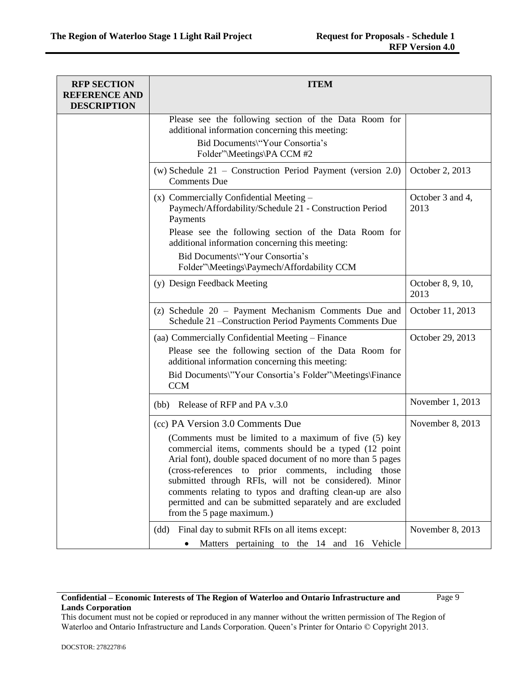| <b>RFP SECTION</b><br><b>REFERENCE AND</b><br><b>DESCRIPTION</b> | <b>ITEM</b>                                                                                                                                                                                                                                                                                                                                                                                                                                                                                   |                           |
|------------------------------------------------------------------|-----------------------------------------------------------------------------------------------------------------------------------------------------------------------------------------------------------------------------------------------------------------------------------------------------------------------------------------------------------------------------------------------------------------------------------------------------------------------------------------------|---------------------------|
|                                                                  | Please see the following section of the Data Room for<br>additional information concerning this meeting:<br>Bid Documents\"Your Consortia's<br>Folder"\Meetings\PA CCM #2                                                                                                                                                                                                                                                                                                                     |                           |
|                                                                  | (w) Schedule $21$ – Construction Period Payment (version 2.0)<br><b>Comments Due</b>                                                                                                                                                                                                                                                                                                                                                                                                          | October 2, 2013           |
|                                                                  | (x) Commercially Confidential Meeting -<br>Paymech/Affordability/Schedule 21 - Construction Period<br>Payments                                                                                                                                                                                                                                                                                                                                                                                | October 3 and 4,<br>2013  |
|                                                                  | Please see the following section of the Data Room for<br>additional information concerning this meeting:<br>Bid Documents\"Your Consortia's<br>Folder"\Meetings\Paymech/Affordability CCM                                                                                                                                                                                                                                                                                                     |                           |
|                                                                  | (y) Design Feedback Meeting                                                                                                                                                                                                                                                                                                                                                                                                                                                                   | October 8, 9, 10,<br>2013 |
|                                                                  | (z) Schedule 20 - Payment Mechanism Comments Due and<br>Schedule 21 - Construction Period Payments Comments Due                                                                                                                                                                                                                                                                                                                                                                               | October 11, 2013          |
|                                                                  | (aa) Commercially Confidential Meeting - Finance<br>Please see the following section of the Data Room for<br>additional information concerning this meeting:<br>Bid Documents\"Your Consortia's Folder"\Meetings\Finance<br><b>CCM</b>                                                                                                                                                                                                                                                        | October 29, 2013          |
|                                                                  | (bb) Release of RFP and PA v.3.0                                                                                                                                                                                                                                                                                                                                                                                                                                                              | November 1, 2013          |
|                                                                  | (cc) PA Version 3.0 Comments Due<br>(Comments must be limited to a maximum of five (5) key<br>commercial items, comments should be a typed (12 point<br>Arial font), double spaced document of no more than 5 pages<br>(cross-references to prior comments, including those<br>submitted through RFIs, will not be considered). Minor<br>comments relating to typos and drafting clean-up are also<br>permitted and can be submitted separately and are excluded<br>from the 5 page maximum.) | November 8, 2013          |
|                                                                  | Final day to submit RFIs on all items except:<br>(dd)<br>Matters pertaining to the 14 and 16 Vehicle                                                                                                                                                                                                                                                                                                                                                                                          | November 8, 2013          |

Page 9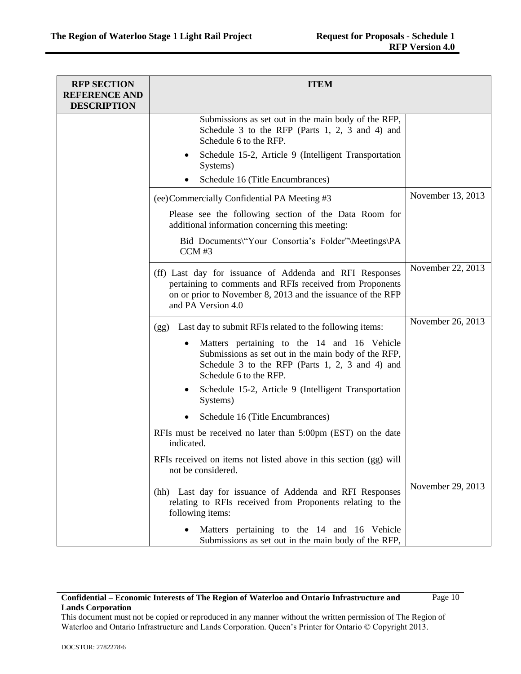| <b>RFP SECTION</b><br><b>REFERENCE AND</b> | <b>ITEM</b>                                                                                                                                                                                              |                   |
|--------------------------------------------|----------------------------------------------------------------------------------------------------------------------------------------------------------------------------------------------------------|-------------------|
| <b>DESCRIPTION</b>                         |                                                                                                                                                                                                          |                   |
|                                            | Submissions as set out in the main body of the RFP,<br>Schedule 3 to the RFP (Parts 1, 2, 3 and 4) and<br>Schedule 6 to the RFP.<br>Schedule 15-2, Article 9 (Intelligent Transportation                 |                   |
|                                            | Systems)                                                                                                                                                                                                 |                   |
|                                            | Schedule 16 (Title Encumbrances)                                                                                                                                                                         |                   |
|                                            | (ee) Commercially Confidential PA Meeting #3                                                                                                                                                             | November 13, 2013 |
|                                            | Please see the following section of the Data Room for<br>additional information concerning this meeting:                                                                                                 |                   |
|                                            | Bid Documents\"Your Consortia's Folder"\Meetings\PA<br>$CCM$ #3                                                                                                                                          |                   |
|                                            | (ff) Last day for issuance of Addenda and RFI Responses<br>pertaining to comments and RFIs received from Proponents<br>on or prior to November 8, 2013 and the issuance of the RFP<br>and PA Version 4.0 | November 22, 2013 |
|                                            | Last day to submit RFIs related to the following items:<br>(gg)                                                                                                                                          | November 26, 2013 |
|                                            | Matters pertaining to the 14 and 16 Vehicle<br>Submissions as set out in the main body of the RFP,<br>Schedule 3 to the RFP (Parts 1, 2, 3 and 4) and<br>Schedule 6 to the RFP.                          |                   |
|                                            | Schedule 15-2, Article 9 (Intelligent Transportation<br>Systems)                                                                                                                                         |                   |
|                                            | Schedule 16 (Title Encumbrances)                                                                                                                                                                         |                   |
|                                            | RFIs must be received no later than 5:00pm (EST) on the date<br>indicated.                                                                                                                               |                   |
|                                            | RFIs received on items not listed above in this section (gg) will<br>not be considered.                                                                                                                  |                   |
|                                            | (hh) Last day for issuance of Addenda and RFI Responses<br>relating to RFIs received from Proponents relating to the<br>following items:                                                                 | November 29, 2013 |
|                                            | Matters pertaining to the 14 and 16 Vehicle<br>Submissions as set out in the main body of the RFP,                                                                                                       |                   |

Page 10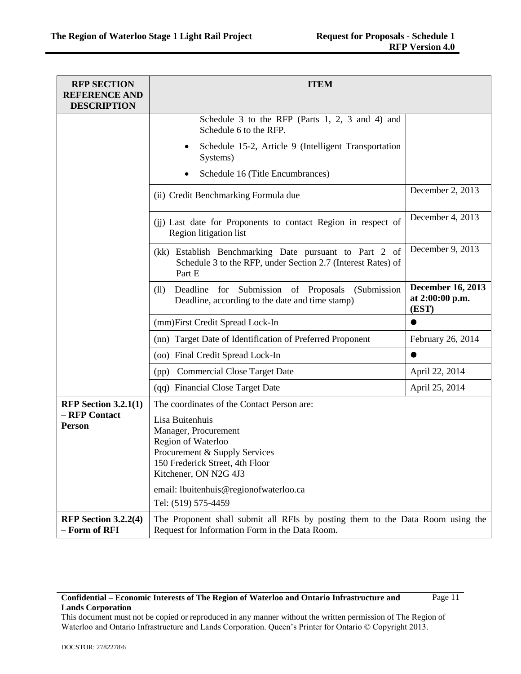| <b>RFP SECTION</b><br><b>REFERENCE AND</b><br><b>DESCRIPTION</b> | <b>ITEM</b>                                                                                                                                                |                                                      |
|------------------------------------------------------------------|------------------------------------------------------------------------------------------------------------------------------------------------------------|------------------------------------------------------|
|                                                                  | Schedule 3 to the RFP (Parts 1, 2, 3 and 4) and<br>Schedule 6 to the RFP.                                                                                  |                                                      |
|                                                                  | Schedule 15-2, Article 9 (Intelligent Transportation<br>٠<br>Systems)                                                                                      |                                                      |
|                                                                  | Schedule 16 (Title Encumbrances)                                                                                                                           |                                                      |
|                                                                  | (ii) Credit Benchmarking Formula due                                                                                                                       | December 2, 2013                                     |
|                                                                  | (ii) Last date for Proponents to contact Region in respect of<br>Region litigation list                                                                    | December 4, 2013                                     |
|                                                                  | (kk) Establish Benchmarking Date pursuant to Part 2 of<br>Schedule 3 to the RFP, under Section 2.7 (Interest Rates) of<br>Part E                           | December 9, 2013                                     |
|                                                                  | Deadline for Submission of Proposals (Submission<br>(11)<br>Deadline, according to the date and time stamp)                                                | <b>December 16, 2013</b><br>at 2:00:00 p.m.<br>(EST) |
|                                                                  | (mm)First Credit Spread Lock-In                                                                                                                            |                                                      |
|                                                                  | (nn) Target Date of Identification of Preferred Proponent                                                                                                  | February 26, 2014                                    |
|                                                                  | (oo) Final Credit Spread Lock-In                                                                                                                           | ●                                                    |
|                                                                  | (pp) Commercial Close Target Date                                                                                                                          | April 22, 2014                                       |
|                                                                  | (qq) Financial Close Target Date                                                                                                                           | April 25, 2014                                       |
| RFP Section $3.2.1(1)$                                           | The coordinates of the Contact Person are:                                                                                                                 |                                                      |
| - RFP Contact<br>Person                                          | Lisa Buitenhuis<br>Manager, Procurement<br>Region of Waterloo<br>Procurement & Supply Services<br>150 Frederick Street, 4th Floor<br>Kitchener, ON N2G 4J3 |                                                      |
|                                                                  | email: lbuitenhuis@regionofwaterloo.ca<br>Tel: (519) 575-4459                                                                                              |                                                      |
| RFP Section $3.2.2(4)$<br>- Form of RFI                          | The Proponent shall submit all RFIs by posting them to the Data Room using the<br>Request for Information Form in the Data Room.                           |                                                      |

Page 11

This document must not be copied or reproduced in any manner without the written permission of The Region of Waterloo and Ontario Infrastructure and Lands Corporation. Queen's Printer for Ontario © Copyright 2013.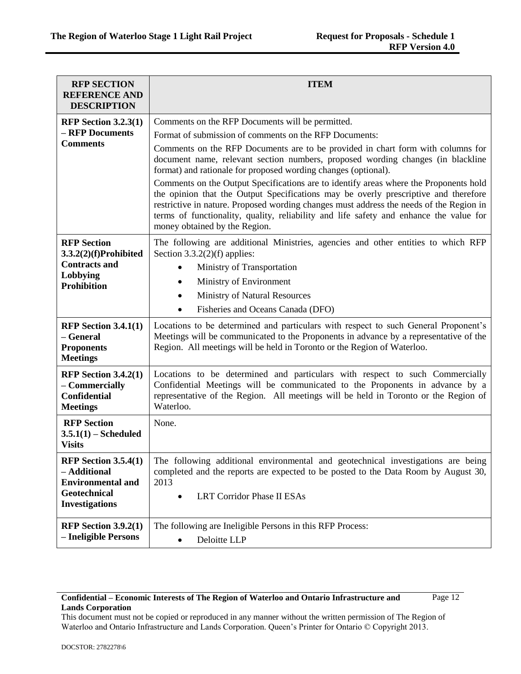| <b>RFP SECTION</b>                                                                                               | <b>ITEM</b>                                                                                                                                                                                                                                                                                                                                                                                        |  |
|------------------------------------------------------------------------------------------------------------------|----------------------------------------------------------------------------------------------------------------------------------------------------------------------------------------------------------------------------------------------------------------------------------------------------------------------------------------------------------------------------------------------------|--|
| <b>REFERENCE AND</b><br><b>DESCRIPTION</b>                                                                       |                                                                                                                                                                                                                                                                                                                                                                                                    |  |
| RFP Section $3.2.3(1)$                                                                                           | Comments on the RFP Documents will be permitted.                                                                                                                                                                                                                                                                                                                                                   |  |
| - RFP Documents                                                                                                  | Format of submission of comments on the RFP Documents:                                                                                                                                                                                                                                                                                                                                             |  |
| <b>Comments</b>                                                                                                  | Comments on the RFP Documents are to be provided in chart form with columns for<br>document name, relevant section numbers, proposed wording changes (in blackline<br>format) and rationale for proposed wording changes (optional).                                                                                                                                                               |  |
|                                                                                                                  | Comments on the Output Specifications are to identify areas where the Proponents hold<br>the opinion that the Output Specifications may be overly prescriptive and therefore<br>restrictive in nature. Proposed wording changes must address the needs of the Region in<br>terms of functionality, quality, reliability and life safety and enhance the value for<br>money obtained by the Region. |  |
| <b>RFP Section</b><br>$3.3.2(2)(f)$ Prohibited                                                                   | The following are additional Ministries, agencies and other entities to which RFP<br>Section $3.3.2(2)(f)$ applies:                                                                                                                                                                                                                                                                                |  |
| <b>Contracts and</b>                                                                                             | Ministry of Transportation<br>$\bullet$                                                                                                                                                                                                                                                                                                                                                            |  |
| Lobbying<br><b>Prohibition</b>                                                                                   | Ministry of Environment<br>٠                                                                                                                                                                                                                                                                                                                                                                       |  |
|                                                                                                                  | <b>Ministry of Natural Resources</b>                                                                                                                                                                                                                                                                                                                                                               |  |
|                                                                                                                  | Fisheries and Oceans Canada (DFO)                                                                                                                                                                                                                                                                                                                                                                  |  |
| RFP Section $3.4.1(1)$<br>- General<br><b>Proponents</b><br><b>Meetings</b>                                      | Locations to be determined and particulars with respect to such General Proponent's<br>Meetings will be communicated to the Proponents in advance by a representative of the<br>Region. All meetings will be held in Toronto or the Region of Waterloo.                                                                                                                                            |  |
| RFP Section $3.4.2(1)$<br>- Commercially<br><b>Confidential</b><br><b>Meetings</b>                               | Locations to be determined and particulars with respect to such Commercially<br>Confidential Meetings will be communicated to the Proponents in advance by a<br>representative of the Region. All meetings will be held in Toronto or the Region of<br>Waterloo.                                                                                                                                   |  |
| <b>RFP Section</b><br>$3.5.1(1)$ - Scheduled<br><b>Visits</b>                                                    | None.                                                                                                                                                                                                                                                                                                                                                                                              |  |
| <b>RFP Section 3.5.4(1)</b><br>- Additional<br><b>Environmental and</b><br>Geotechnical<br><b>Investigations</b> | The following additional environmental and geotechnical investigations are being<br>completed and the reports are expected to be posted to the Data Room by August 30,<br>2013<br><b>LRT Corridor Phase II ESAs</b>                                                                                                                                                                                |  |
| RFP Section $3.9.2(1)$<br>- Ineligible Persons                                                                   | The following are Ineligible Persons in this RFP Process:<br>Deloitte LLP<br>$\bullet$                                                                                                                                                                                                                                                                                                             |  |

Page 12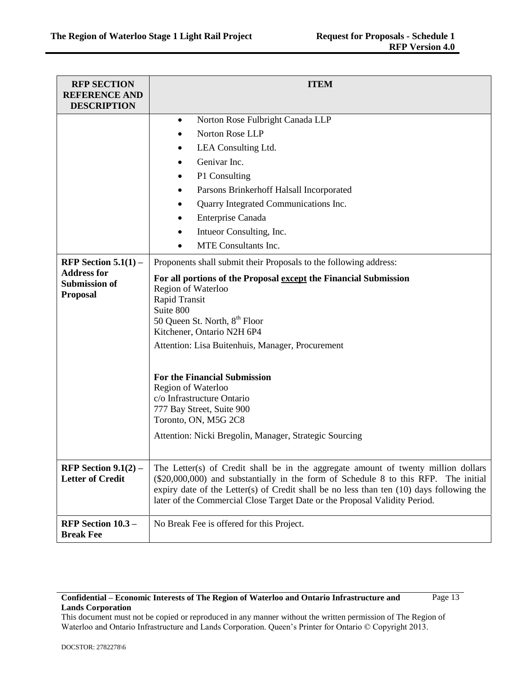| <b>RFP SECTION</b><br><b>REFERENCE AND</b><br><b>DESCRIPTION</b>                        | <b>ITEM</b>                                                                                                                                                                                                                                                                                                                                                                                                                                                                                                                                                                                                                                                                                                                                                             |
|-----------------------------------------------------------------------------------------|-------------------------------------------------------------------------------------------------------------------------------------------------------------------------------------------------------------------------------------------------------------------------------------------------------------------------------------------------------------------------------------------------------------------------------------------------------------------------------------------------------------------------------------------------------------------------------------------------------------------------------------------------------------------------------------------------------------------------------------------------------------------------|
| RFP Section $5.1(1)$ –<br><b>Address for</b><br><b>Submission of</b><br><b>Proposal</b> | Norton Rose Fulbright Canada LLP<br>$\bullet$<br>Norton Rose LLP<br>LEA Consulting Ltd.<br>٠<br>Genivar Inc.<br>P1 Consulting<br>Parsons Brinkerhoff Halsall Incorporated<br>Quarry Integrated Communications Inc.<br>Enterprise Canada<br>Intueor Consulting, Inc.<br>MTE Consultants Inc.<br>Proponents shall submit their Proposals to the following address:<br>For all portions of the Proposal except the Financial Submission<br>Region of Waterloo<br>Rapid Transit<br>Suite 800<br>50 Queen St. North, 8 <sup>th</sup> Floor<br>Kitchener, Ontario N2H 6P4<br>Attention: Lisa Buitenhuis, Manager, Procurement<br><b>For the Financial Submission</b><br>Region of Waterloo<br>c/o Infrastructure Ontario<br>777 Bay Street, Suite 900<br>Toronto, ON, M5G 2C8 |
|                                                                                         | Attention: Nicki Bregolin, Manager, Strategic Sourcing                                                                                                                                                                                                                                                                                                                                                                                                                                                                                                                                                                                                                                                                                                                  |
| RFP Section $9.1(2)$ –<br><b>Letter of Credit</b>                                       | The Letter(s) of Credit shall be in the aggregate amount of twenty million dollars<br>(\$20,000,000) and substantially in the form of Schedule 8 to this RFP. The initial<br>expiry date of the Letter(s) of Credit shall be no less than ten $(10)$ days following the<br>later of the Commercial Close Target Date or the Proposal Validity Period.                                                                                                                                                                                                                                                                                                                                                                                                                   |
| RFP Section 10.3 -<br><b>Break Fee</b>                                                  | No Break Fee is offered for this Project.                                                                                                                                                                                                                                                                                                                                                                                                                                                                                                                                                                                                                                                                                                                               |

Page 13

This document must not be copied or reproduced in any manner without the written permission of The Region of Waterloo and Ontario Infrastructure and Lands Corporation. Queen's Printer for Ontario © Copyright 2013.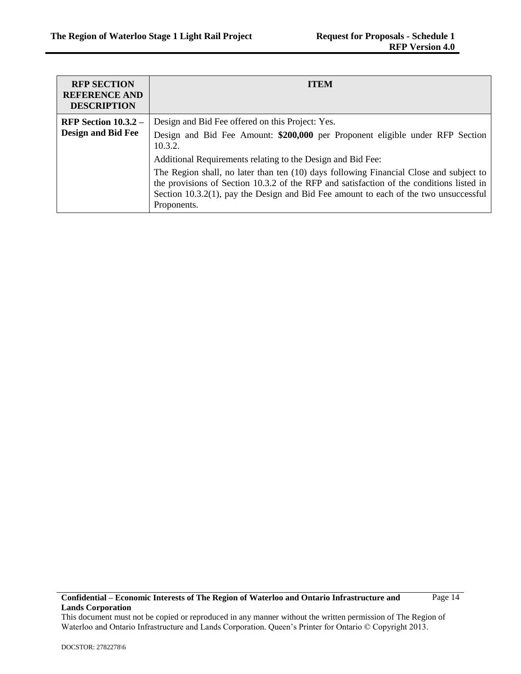| <b>RFP SECTION</b><br><b>REFERENCE AND</b><br><b>DESCRIPTION</b> | <b>ITEM</b>                                                                                                                                                                                                                                                                                                                                                                                                                                                                                                 |
|------------------------------------------------------------------|-------------------------------------------------------------------------------------------------------------------------------------------------------------------------------------------------------------------------------------------------------------------------------------------------------------------------------------------------------------------------------------------------------------------------------------------------------------------------------------------------------------|
| RFP Section $10.3.2 -$<br><b>Design and Bid Fee</b>              | Design and Bid Fee offered on this Project: Yes.<br>Design and Bid Fee Amount: \$200,000 per Proponent eligible under RFP Section<br>10.3.2.<br>Additional Requirements relating to the Design and Bid Fee:<br>The Region shall, no later than ten (10) days following Financial Close and subject to<br>the provisions of Section 10.3.2 of the RFP and satisfaction of the conditions listed in<br>Section $10.3.2(1)$ , pay the Design and Bid Fee amount to each of the two unsuccessful<br>Proponents. |

Page 14